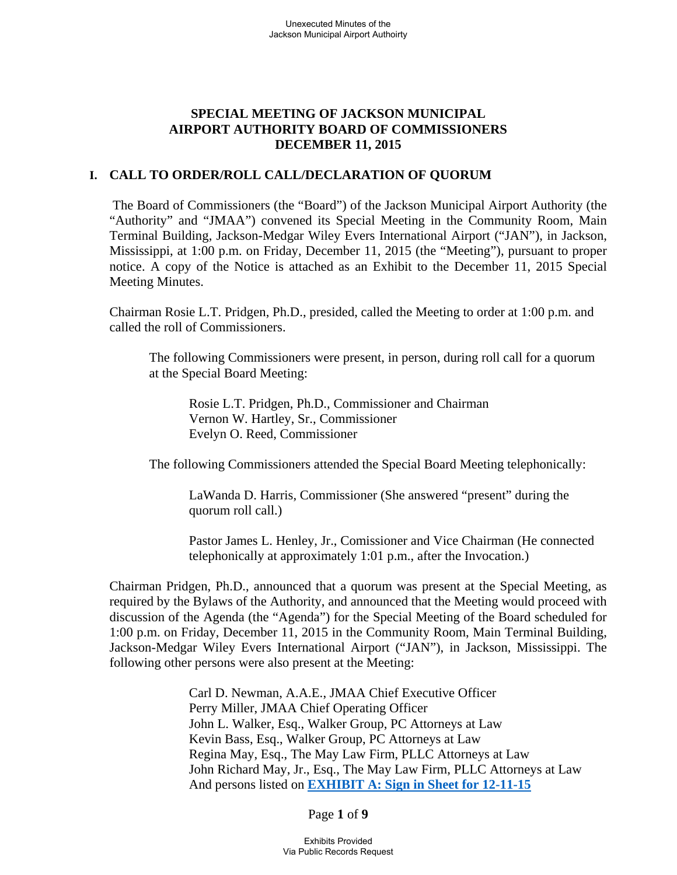## **SPECIAL MEETING OF JACKSON MUNICIPAL AIRPORT AUTHORITY BOARD OF COMMISSIONERS DECEMBER 11, 2015**

### **I. CALL TO ORDER/ROLL CALL/DECLARATION OF QUORUM**

 The Board of Commissioners (the "Board") of the Jackson Municipal Airport Authority (the "Authority" and "JMAA") convened its Special Meeting in the Community Room, Main Terminal Building, Jackson-Medgar Wiley Evers International Airport ("JAN"), in Jackson, Mississippi, at 1:00 p.m. on Friday, December 11, 2015 (the "Meeting"), pursuant to proper notice. A copy of the Notice is attached as an Exhibit to the December 11, 2015 Special Meeting Minutes.

Chairman Rosie L.T. Pridgen, Ph.D., presided, called the Meeting to order at 1:00 p.m. and called the roll of Commissioners.

The following Commissioners were present, in person, during roll call for a quorum at the Special Board Meeting:

 Rosie L.T. Pridgen, Ph.D., Commissioner and Chairman Vernon W. Hartley, Sr., Commissioner Evelyn O. Reed, Commissioner

The following Commissioners attended the Special Board Meeting telephonically:

 LaWanda D. Harris, Commissioner (She answered "present" during the quorum roll call.)

 Pastor James L. Henley, Jr., Comissioner and Vice Chairman (He connected telephonically at approximately 1:01 p.m., after the Invocation.)

Chairman Pridgen, Ph.D., announced that a quorum was present at the Special Meeting, as required by the Bylaws of the Authority, and announced that the Meeting would proceed with discussion of the Agenda (the "Agenda") for the Special Meeting of the Board scheduled for 1:00 p.m. on Friday, December 11, 2015 in the Community Room, Main Terminal Building, Jackson-Medgar Wiley Evers International Airport ("JAN"), in Jackson, Mississippi. The following other persons were also present at the Meeting:

> Carl D. Newman, A.A.E., JMAA Chief Executive Officer Perry Miller, JMAA Chief Operating Officer John L. Walker, Esq., Walker Group, PC Attorneys at Law Kevin Bass, Esq., Walker Group, PC Attorneys at Law Regina May, Esq., The May Law Firm, PLLC Attorneys at Law John Richard May, Jr., Esq., The May Law Firm, PLLC Attorneys at Law And persons listed on **EXHIBIT A: Sign in Sheet for 12-11-15**

> > Page **1** of **9**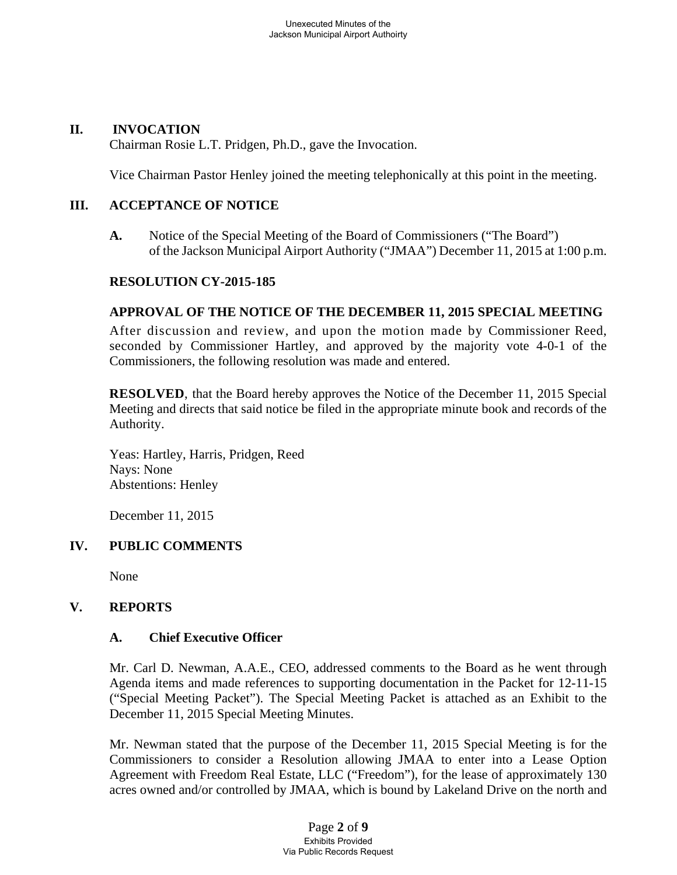### **II. INVOCATION**

Chairman Rosie L.T. Pridgen, Ph.D., gave the Invocation.

Vice Chairman Pastor Henley joined the meeting telephonically at this point in the meeting.

### **III. ACCEPTANCE OF NOTICE**

**A.** Notice of the Special Meeting of the Board of Commissioners ("The Board") of the Jackson Municipal Airport Authority ("JMAA") December 11, 2015 at 1:00 p.m.

### **RESOLUTION CY-2015-185**

## **APPROVAL OF THE NOTICE OF THE DECEMBER 11, 2015 SPECIAL MEETING**

After discussion and review, and upon the motion made by Commissioner Reed, seconded by Commissioner Hartley, and approved by the majority vote 4-0-1 of the Commissioners, the following resolution was made and entered.

**RESOLVED**, that the Board hereby approves the Notice of the December 11, 2015 Special Meeting and directs that said notice be filed in the appropriate minute book and records of the Authority.

Yeas: Hartley, Harris, Pridgen, Reed Nays: None Abstentions: Henley

December 11, 2015

## **IV. PUBLIC COMMENTS**

None

## **V. REPORTS**

### **A. Chief Executive Officer**

Mr. Carl D. Newman, A.A.E., CEO, addressed comments to the Board as he went through Agenda items and made references to supporting documentation in the Packet for 12-11-15 ("Special Meeting Packet"). The Special Meeting Packet is attached as an Exhibit to the December 11, 2015 Special Meeting Minutes.

Mr. Newman stated that the purpose of the December 11, 2015 Special Meeting is for the Commissioners to consider a Resolution allowing JMAA to enter into a Lease Option Agreement with Freedom Real Estate, LLC ("Freedom"), for the lease of approximately 130 acres owned and/or controlled by JMAA, which is bound by Lakeland Drive on the north and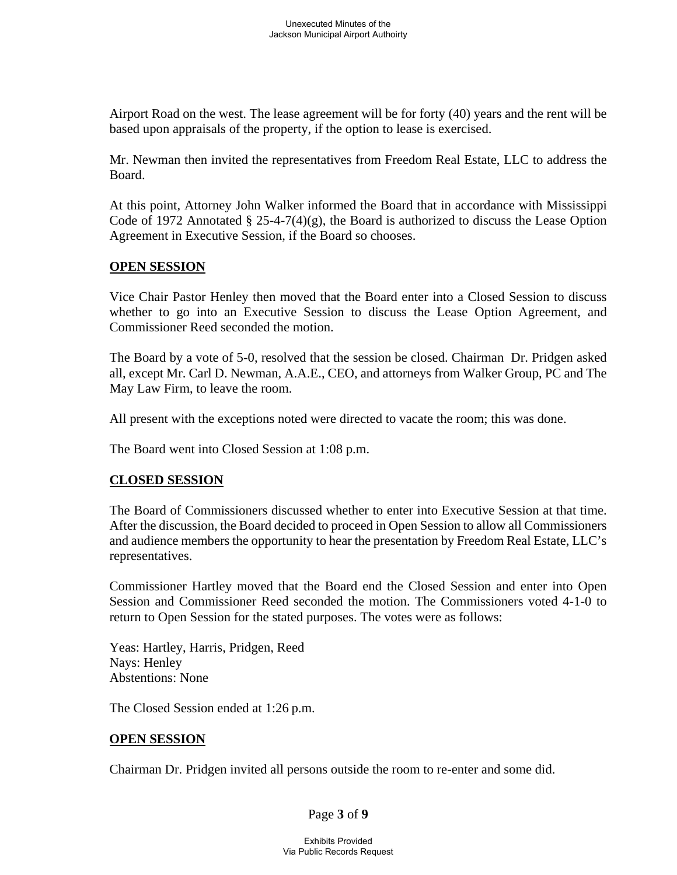Airport Road on the west. The lease agreement will be for forty (40) years and the rent will be based upon appraisals of the property, if the option to lease is exercised.

Mr. Newman then invited the representatives from Freedom Real Estate, LLC to address the Board.

At this point, Attorney John Walker informed the Board that in accordance with Mississippi Code of 1972 Annotated  $\S$  25-4-7(4)(g), the Board is authorized to discuss the Lease Option Agreement in Executive Session, if the Board so chooses.

### **OPEN SESSION**

Vice Chair Pastor Henley then moved that the Board enter into a Closed Session to discuss whether to go into an Executive Session to discuss the Lease Option Agreement, and Commissioner Reed seconded the motion.

The Board by a vote of 5-0, resolved that the session be closed. Chairman Dr. Pridgen asked all, except Mr. Carl D. Newman, A.A.E., CEO, and attorneys from Walker Group, PC and The May Law Firm, to leave the room.

All present with the exceptions noted were directed to vacate the room; this was done.

The Board went into Closed Session at 1:08 p.m.

## **CLOSED SESSION**

The Board of Commissioners discussed whether to enter into Executive Session at that time. After the discussion, the Board decided to proceed in Open Session to allow all Commissioners and audience members the opportunity to hear the presentation by Freedom Real Estate, LLC's representatives.

Commissioner Hartley moved that the Board end the Closed Session and enter into Open Session and Commissioner Reed seconded the motion. The Commissioners voted 4-1-0 to return to Open Session for the stated purposes. The votes were as follows:

Yeas: Hartley, Harris, Pridgen, Reed Nays: Henley Abstentions: None

The Closed Session ended at 1:26 p.m.

## **OPEN SESSION**

Chairman Dr. Pridgen invited all persons outside the room to re-enter and some did.

Page **3** of **9**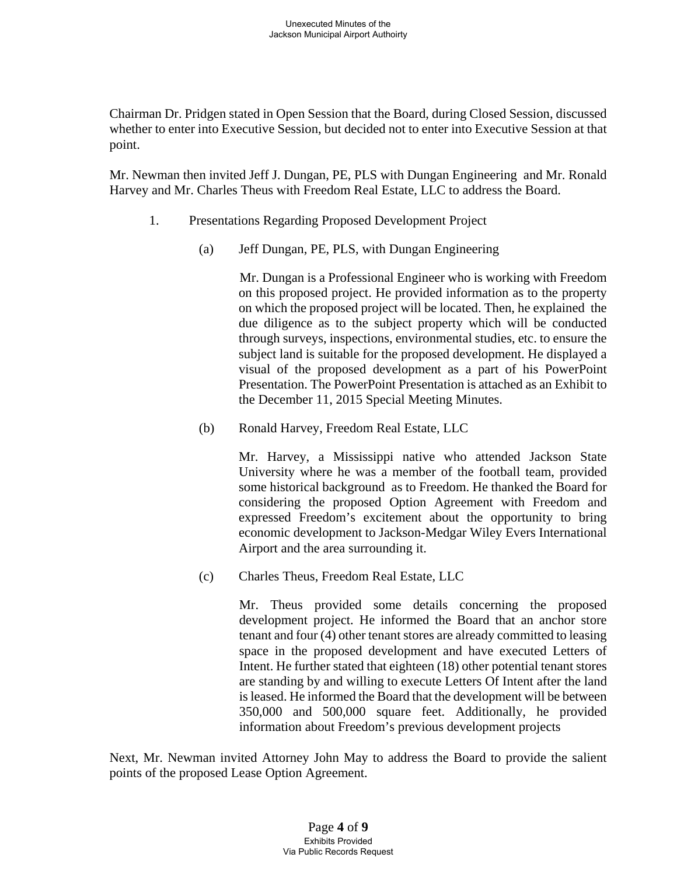Chairman Dr. Pridgen stated in Open Session that the Board, during Closed Session, discussed whether to enter into Executive Session, but decided not to enter into Executive Session at that point.

Mr. Newman then invited Jeff J. Dungan, PE, PLS with Dungan Engineering and Mr. Ronald Harvey and Mr. Charles Theus with Freedom Real Estate, LLC to address the Board.

- 1. Presentations Regarding Proposed Development Project
	- (a) Jeff Dungan, PE, PLS, with Dungan Engineering

Mr. Dungan is a Professional Engineer who is working with Freedom on this proposed project. He provided information as to the property on which the proposed project will be located. Then, he explained the due diligence as to the subject property which will be conducted through surveys, inspections, environmental studies, etc. to ensure the subject land is suitable for the proposed development. He displayed a visual of the proposed development as a part of his PowerPoint Presentation. The PowerPoint Presentation is attached as an Exhibit to the December 11, 2015 Special Meeting Minutes.

(b) Ronald Harvey, Freedom Real Estate, LLC

Mr. Harvey, a Mississippi native who attended Jackson State University where he was a member of the football team, provided some historical background as to Freedom. He thanked the Board for considering the proposed Option Agreement with Freedom and expressed Freedom's excitement about the opportunity to bring economic development to Jackson-Medgar Wiley Evers International Airport and the area surrounding it.

(c) Charles Theus, Freedom Real Estate, LLC

Mr. Theus provided some details concerning the proposed development project. He informed the Board that an anchor store tenant and four (4) other tenant stores are already committed to leasing space in the proposed development and have executed Letters of Intent. He further stated that eighteen (18) other potential tenant stores are standing by and willing to execute Letters Of Intent after the land is leased. He informed the Board that the development will be between 350,000 and 500,000 square feet. Additionally, he provided information about Freedom's previous development projects

Next, Mr. Newman invited Attorney John May to address the Board to provide the salient points of the proposed Lease Option Agreement.

#### Page **4** of **9** Exhibits Provided Via Public Records Request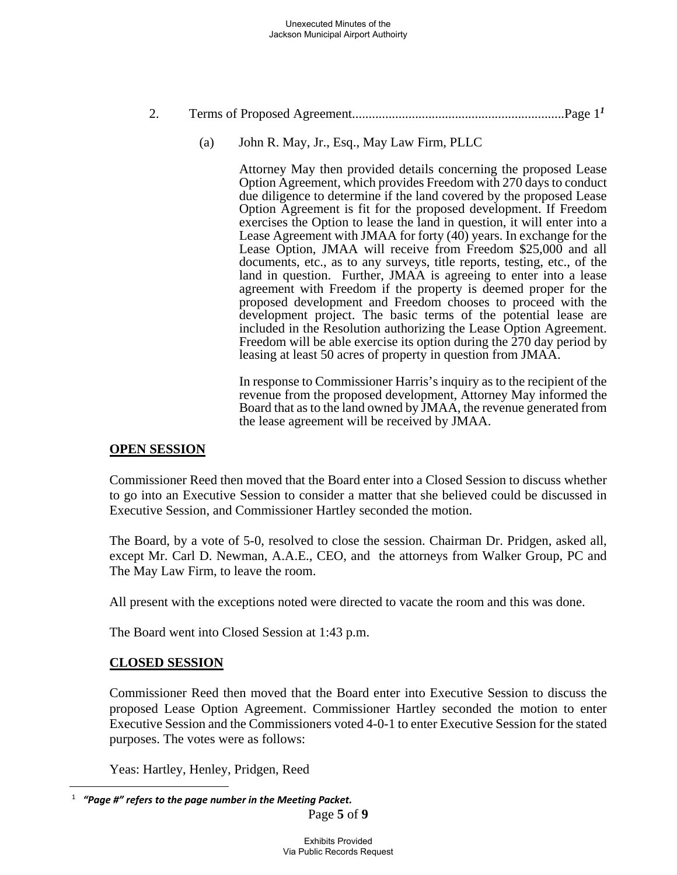# 2. Terms of Proposed Agreement................................................................Page 1*<sup>1</sup>*

(a) John R. May, Jr., Esq., May Law Firm, PLLC

Attorney May then provided details concerning the proposed Lease Option Agreement, which provides Freedom with 270 days to conduct due diligence to determine if the land covered by the proposed Lease Option Agreement is fit for the proposed development. If Freedom exercises the Option to lease the land in question, it will enter into a Lease Agreement with JMAA for forty (40) years. In exchange for the Lease Option, JMAA will receive from Freedom \$25,000 and all documents, etc., as to any surveys, title reports, testing, etc., of the land in question. Further, JMAA is agreeing to enter into a lease agreement with Freedom if the property is deemed proper for the proposed development and Freedom chooses to proceed with the development project. The basic terms of the potential lease are included in the Resolution authorizing the Lease Option Agreement. Freedom will be able exercise its option during the 270 day period by leasing at least 50 acres of property in question from JMAA.

In response to Commissioner Harris's inquiry as to the recipient of the revenue from the proposed development, Attorney May informed the Board that as to the land owned by JMAA, the revenue generated from the lease agreement will be received by JMAA.

## **OPEN SESSION**

Commissioner Reed then moved that the Board enter into a Closed Session to discuss whether to go into an Executive Session to consider a matter that she believed could be discussed in Executive Session, and Commissioner Hartley seconded the motion.

The Board, by a vote of 5-0, resolved to close the session. Chairman Dr. Pridgen, asked all, except Mr. Carl D. Newman, A.A.E., CEO, and the attorneys from Walker Group, PC and The May Law Firm, to leave the room.

All present with the exceptions noted were directed to vacate the room and this was done.

The Board went into Closed Session at 1:43 p.m.

## **CLOSED SESSION**

 $\overline{a}$ 

Commissioner Reed then moved that the Board enter into Executive Session to discuss the proposed Lease Option Agreement. Commissioner Hartley seconded the motion to enter Executive Session and the Commissioners voted 4-0-1 to enter Executive Session for the stated purposes. The votes were as follows:

Yeas: Hartley, Henley, Pridgen, Reed

Page **5** of **9** 1  *"Page #" refers to the page number in the Meeting Packet.*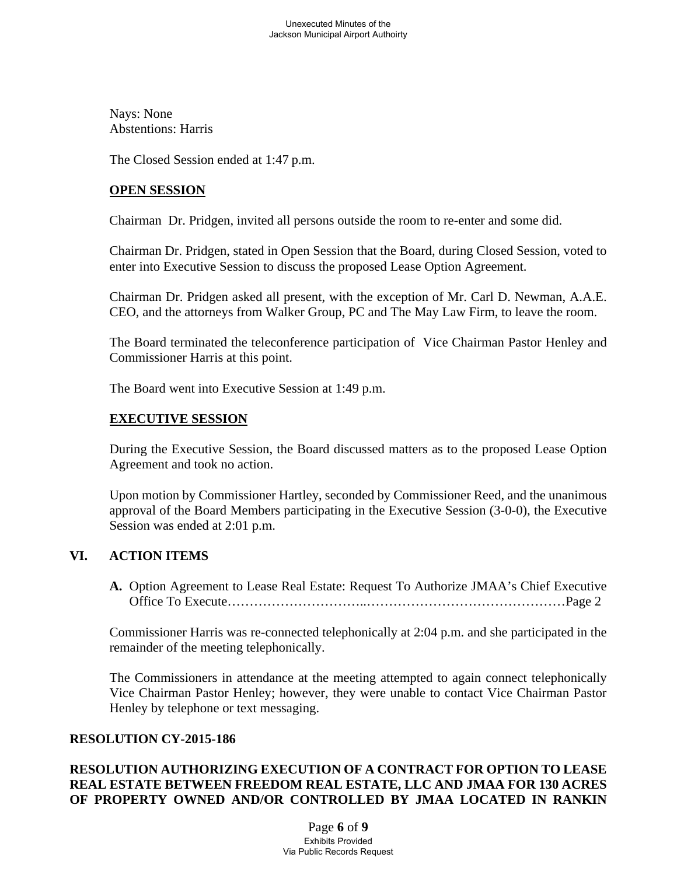Nays: None Abstentions: Harris

The Closed Session ended at 1:47 p.m.

### **OPEN SESSION**

Chairman Dr. Pridgen, invited all persons outside the room to re-enter and some did.

Chairman Dr. Pridgen, stated in Open Session that the Board, during Closed Session, voted to enter into Executive Session to discuss the proposed Lease Option Agreement.

Chairman Dr. Pridgen asked all present, with the exception of Mr. Carl D. Newman, A.A.E. CEO, and the attorneys from Walker Group, PC and The May Law Firm, to leave the room.

The Board terminated the teleconference participation of Vice Chairman Pastor Henley and Commissioner Harris at this point.

The Board went into Executive Session at 1:49 p.m.

### **EXECUTIVE SESSION**

During the Executive Session, the Board discussed matters as to the proposed Lease Option Agreement and took no action.

Upon motion by Commissioner Hartley, seconded by Commissioner Reed, and the unanimous approval of the Board Members participating in the Executive Session (3-0-0), the Executive Session was ended at 2:01 p.m.

# **VI. ACTION ITEMS**

**A.** Option Agreement to Lease Real Estate: Request To Authorize JMAA's Chief Executive Office To Execute…………………………..………………………………………Page 2

Commissioner Harris was re-connected telephonically at 2:04 p.m. and she participated in the remainder of the meeting telephonically.

The Commissioners in attendance at the meeting attempted to again connect telephonically Vice Chairman Pastor Henley; however, they were unable to contact Vice Chairman Pastor Henley by telephone or text messaging.

### **RESOLUTION CY-2015-186**

# **RESOLUTION AUTHORIZING EXECUTION OF A CONTRACT FOR OPTION TO LEASE REAL ESTATE BETWEEN FREEDOM REAL ESTATE, LLC AND JMAA FOR 130 ACRES OF PROPERTY OWNED AND/OR CONTROLLED BY JMAA LOCATED IN RANKIN**

Page **6** of **9** Exhibits Provided Via Public Records Request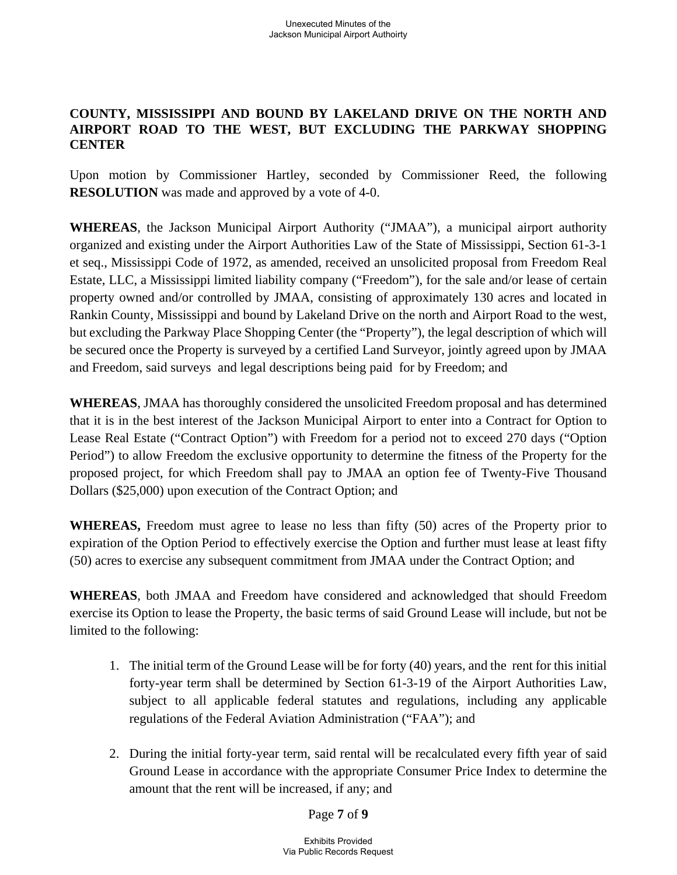# **COUNTY, MISSISSIPPI AND BOUND BY LAKELAND DRIVE ON THE NORTH AND AIRPORT ROAD TO THE WEST, BUT EXCLUDING THE PARKWAY SHOPPING CENTER**

Upon motion by Commissioner Hartley, seconded by Commissioner Reed, the following **RESOLUTION** was made and approved by a vote of 4-0.

**WHEREAS**, the Jackson Municipal Airport Authority ("JMAA"), a municipal airport authority organized and existing under the Airport Authorities Law of the State of Mississippi, Section 61-3-1 et seq., Mississippi Code of 1972, as amended, received an unsolicited proposal from Freedom Real Estate, LLC, a Mississippi limited liability company ("Freedom"), for the sale and/or lease of certain property owned and/or controlled by JMAA, consisting of approximately 130 acres and located in Rankin County, Mississippi and bound by Lakeland Drive on the north and Airport Road to the west, but excluding the Parkway Place Shopping Center (the "Property"), the legal description of which will be secured once the Property is surveyed by a certified Land Surveyor, jointly agreed upon by JMAA and Freedom, said surveys and legal descriptions being paid for by Freedom; and

**WHEREAS**, JMAA has thoroughly considered the unsolicited Freedom proposal and has determined that it is in the best interest of the Jackson Municipal Airport to enter into a Contract for Option to Lease Real Estate ("Contract Option") with Freedom for a period not to exceed 270 days ("Option Period") to allow Freedom the exclusive opportunity to determine the fitness of the Property for the proposed project, for which Freedom shall pay to JMAA an option fee of Twenty-Five Thousand Dollars (\$25,000) upon execution of the Contract Option; and

**WHEREAS,** Freedom must agree to lease no less than fifty (50) acres of the Property prior to expiration of the Option Period to effectively exercise the Option and further must lease at least fifty (50) acres to exercise any subsequent commitment from JMAA under the Contract Option; and

**WHEREAS**, both JMAA and Freedom have considered and acknowledged that should Freedom exercise its Option to lease the Property, the basic terms of said Ground Lease will include, but not be limited to the following:

- 1. The initial term of the Ground Lease will be for forty (40) years, and the rent for this initial forty-year term shall be determined by Section 61-3-19 of the Airport Authorities Law, subject to all applicable federal statutes and regulations, including any applicable regulations of the Federal Aviation Administration ("FAA"); and
- 2. During the initial forty-year term, said rental will be recalculated every fifth year of said Ground Lease in accordance with the appropriate Consumer Price Index to determine the amount that the rent will be increased, if any; and

Page **7** of **9**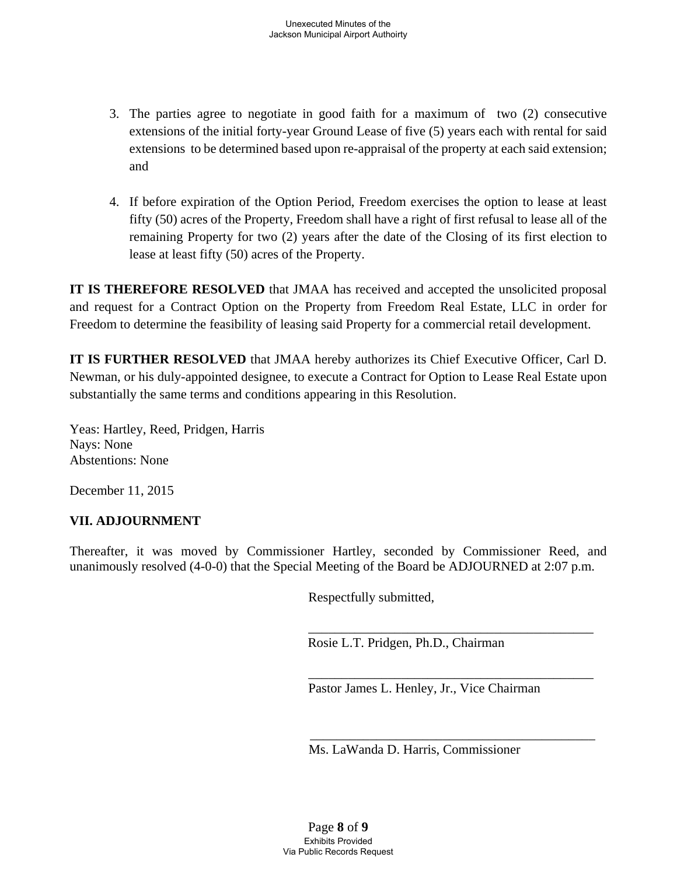- 3. The parties agree to negotiate in good faith for a maximum of two (2) consecutive extensions of the initial forty-year Ground Lease of five (5) years each with rental for said extensions to be determined based upon re-appraisal of the property at each said extension; and
- 4. If before expiration of the Option Period, Freedom exercises the option to lease at least fifty (50) acres of the Property, Freedom shall have a right of first refusal to lease all of the remaining Property for two (2) years after the date of the Closing of its first election to lease at least fifty (50) acres of the Property.

**IT IS THEREFORE RESOLVED** that JMAA has received and accepted the unsolicited proposal and request for a Contract Option on the Property from Freedom Real Estate, LLC in order for Freedom to determine the feasibility of leasing said Property for a commercial retail development.

**IT IS FURTHER RESOLVED** that JMAA hereby authorizes its Chief Executive Officer, Carl D. Newman, or his duly-appointed designee, to execute a Contract for Option to Lease Real Estate upon substantially the same terms and conditions appearing in this Resolution.

Yeas: Hartley, Reed, Pridgen, Harris Nays: None Abstentions: None

December 11, 2015

## **VII. ADJOURNMENT**

Thereafter, it was moved by Commissioner Hartley, seconded by Commissioner Reed, and unanimously resolved (4-0-0) that the Special Meeting of the Board be ADJOURNED at 2:07 p.m.

 $\overline{\phantom{a}}$  , which is a set of the set of the set of the set of the set of the set of the set of the set of the set of the set of the set of the set of the set of the set of the set of the set of the set of the set of th

Respectfully submitted,

Rosie L.T. Pridgen, Ph.D., Chairman

 $\overline{\phantom{a}}$  ,  $\overline{\phantom{a}}$  ,  $\overline{\phantom{a}}$  ,  $\overline{\phantom{a}}$  ,  $\overline{\phantom{a}}$  ,  $\overline{\phantom{a}}$  ,  $\overline{\phantom{a}}$  ,  $\overline{\phantom{a}}$  ,  $\overline{\phantom{a}}$  ,  $\overline{\phantom{a}}$  ,  $\overline{\phantom{a}}$  ,  $\overline{\phantom{a}}$  ,  $\overline{\phantom{a}}$  ,  $\overline{\phantom{a}}$  ,  $\overline{\phantom{a}}$  ,  $\overline{\phantom{a}}$ Pastor James L. Henley, Jr., Vice Chairman

Ms. LaWanda D. Harris, Commissioner

 $\overline{\phantom{a}}$  , which is a set of the set of the set of the set of the set of the set of the set of the set of the set of the set of the set of the set of the set of the set of the set of the set of the set of the set of th